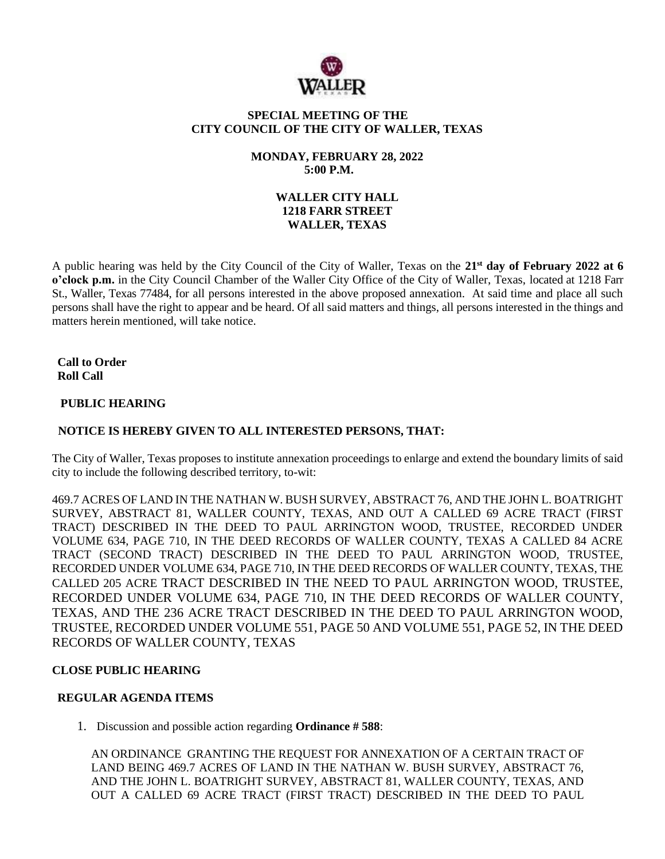

## **SPECIAL MEETING OF THE CITY COUNCIL OF THE CITY OF WALLER, TEXAS**

## **MONDAY, FEBRUARY 28, 2022 5:00 P.M.**

## **WALLER CITY HALL 1218 FARR STREET WALLER, TEXAS**

A public hearing was held by the City Council of the City of Waller, Texas on the **21 st day of February 2022 at 6 o'clock p.m.** in the City Council Chamber of the Waller City Office of the City of Waller, Texas, located at 1218 Farr St., Waller, Texas 77484, for all persons interested in the above proposed annexation. At said time and place all such persons shall have the right to appear and be heard. Of all said matters and things, all persons interested in the things and matters herein mentioned, will take notice.

**Call to Order Roll Call**

### **PUBLIC HEARING**

# **NOTICE IS HEREBY GIVEN TO ALL INTERESTED PERSONS, THAT:**

The City of Waller, Texas proposes to institute annexation proceedings to enlarge and extend the boundary limits of said city to include the following described territory, to-wit:

469.7 ACRES OF LAND IN THE NATHAN W. BUSH SURVEY, ABSTRACT 76, AND THE JOHN L. BOATRIGHT SURVEY, ABSTRACT 81, WALLER COUNTY, TEXAS, AND OUT A CALLED 69 ACRE TRACT (FIRST TRACT) DESCRIBED IN THE DEED TO PAUL ARRINGTON WOOD, TRUSTEE, RECORDED UNDER VOLUME 634, PAGE 710, IN THE DEED RECORDS OF WALLER COUNTY, TEXAS A CALLED 84 ACRE TRACT (SECOND TRACT) DESCRIBED IN THE DEED TO PAUL ARRINGTON WOOD, TRUSTEE, RECORDED UNDER VOLUME 634, PAGE 710, IN THE DEED RECORDS OF WALLER COUNTY, TEXAS, THE CALLED 205 ACRE TRACT DESCRIBED IN THE NEED TO PAUL ARRINGTON WOOD, TRUSTEE, RECORDED UNDER VOLUME 634, PAGE 710, IN THE DEED RECORDS OF WALLER COUNTY, TEXAS, AND THE 236 ACRE TRACT DESCRIBED IN THE DEED TO PAUL ARRINGTON WOOD, TRUSTEE, RECORDED UNDER VOLUME 551, PAGE 50 AND VOLUME 551, PAGE 52, IN THE DEED RECORDS OF WALLER COUNTY, TEXAS

### **CLOSE PUBLIC HEARING**

## **REGULAR AGENDA ITEMS**

1. Discussion and possible action regarding **Ordinance # 588**:

AN ORDINANCE GRANTING THE REQUEST FOR ANNEXATION OF A CERTAIN TRACT OF LAND BEING 469.7 ACRES OF LAND IN THE NATHAN W. BUSH SURVEY, ABSTRACT 76, AND THE JOHN L. BOATRIGHT SURVEY, ABSTRACT 81, WALLER COUNTY, TEXAS, AND OUT A CALLED 69 ACRE TRACT (FIRST TRACT) DESCRIBED IN THE DEED TO PAUL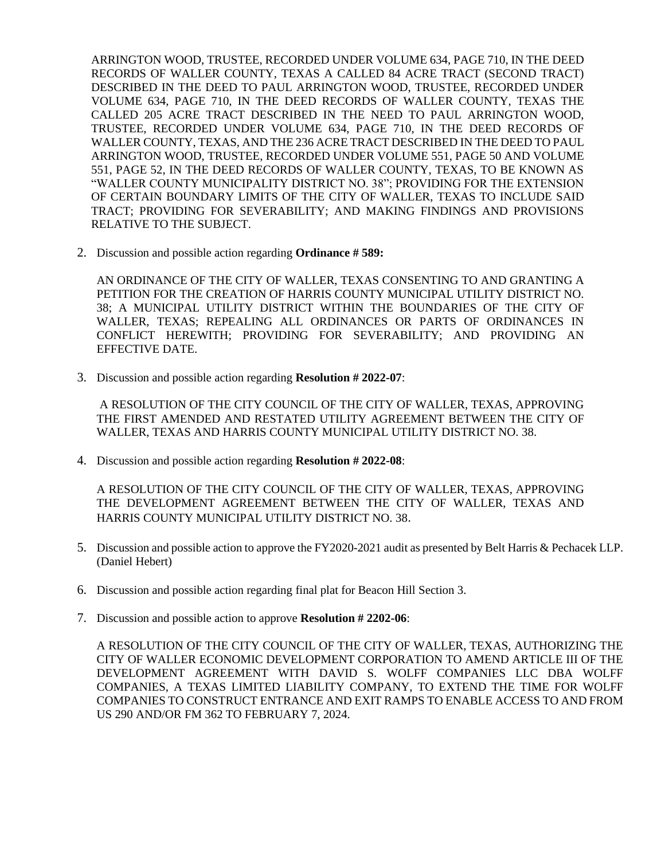ARRINGTON WOOD, TRUSTEE, RECORDED UNDER VOLUME 634, PAGE 710, IN THE DEED RECORDS OF WALLER COUNTY, TEXAS A CALLED 84 ACRE TRACT (SECOND TRACT) DESCRIBED IN THE DEED TO PAUL ARRINGTON WOOD, TRUSTEE, RECORDED UNDER VOLUME 634, PAGE 710, IN THE DEED RECORDS OF WALLER COUNTY, TEXAS THE CALLED 205 ACRE TRACT DESCRIBED IN THE NEED TO PAUL ARRINGTON WOOD, TRUSTEE, RECORDED UNDER VOLUME 634, PAGE 710, IN THE DEED RECORDS OF WALLER COUNTY, TEXAS, AND THE 236 ACRE TRACT DESCRIBED IN THE DEED TO PAUL ARRINGTON WOOD, TRUSTEE, RECORDED UNDER VOLUME 551, PAGE 50 AND VOLUME 551, PAGE 52, IN THE DEED RECORDS OF WALLER COUNTY, TEXAS, TO BE KNOWN AS "WALLER COUNTY MUNICIPALITY DISTRICT NO. 38"; PROVIDING FOR THE EXTENSION OF CERTAIN BOUNDARY LIMITS OF THE CITY OF WALLER, TEXAS TO INCLUDE SAID TRACT; PROVIDING FOR SEVERABILITY; AND MAKING FINDINGS AND PROVISIONS RELATIVE TO THE SUBJECT.

2. Discussion and possible action regarding **Ordinance # 589:**

AN ORDINANCE OF THE CITY OF WALLER, TEXAS CONSENTING TO AND GRANTING A PETITION FOR THE CREATION OF HARRIS COUNTY MUNICIPAL UTILITY DISTRICT NO. 38; A MUNICIPAL UTILITY DISTRICT WITHIN THE BOUNDARIES OF THE CITY OF WALLER, TEXAS; REPEALING ALL ORDINANCES OR PARTS OF ORDINANCES IN CONFLICT HEREWITH; PROVIDING FOR SEVERABILITY; AND PROVIDING AN EFFECTIVE DATE.

3. Discussion and possible action regarding **Resolution # 2022-07**:

A RESOLUTION OF THE CITY COUNCIL OF THE CITY OF WALLER, TEXAS, APPROVING THE FIRST AMENDED AND RESTATED UTILITY AGREEMENT BETWEEN THE CITY OF WALLER, TEXAS AND HARRIS COUNTY MUNICIPAL UTILITY DISTRICT NO. 38.

4. Discussion and possible action regarding **Resolution # 2022-08**:

A RESOLUTION OF THE CITY COUNCIL OF THE CITY OF WALLER, TEXAS, APPROVING THE DEVELOPMENT AGREEMENT BETWEEN THE CITY OF WALLER, TEXAS AND HARRIS COUNTY MUNICIPAL UTILITY DISTRICT NO. 38.

- 5. Discussion and possible action to approve the FY2020-2021 audit as presented by Belt Harris & Pechacek LLP. (Daniel Hebert)
- 6. Discussion and possible action regarding final plat for Beacon Hill Section 3.
- 7. Discussion and possible action to approve **Resolution # 2202-06**:

A RESOLUTION OF THE CITY COUNCIL OF THE CITY OF WALLER, TEXAS, AUTHORIZING THE CITY OF WALLER ECONOMIC DEVELOPMENT CORPORATION TO AMEND ARTICLE III OF THE DEVELOPMENT AGREEMENT WITH DAVID S. WOLFF COMPANIES LLC DBA WOLFF COMPANIES, A TEXAS LIMITED LIABILITY COMPANY, TO EXTEND THE TIME FOR WOLFF COMPANIES TO CONSTRUCT ENTRANCE AND EXIT RAMPS TO ENABLE ACCESS TO AND FROM US 290 AND/OR FM 362 TO FEBRUARY 7, 2024.